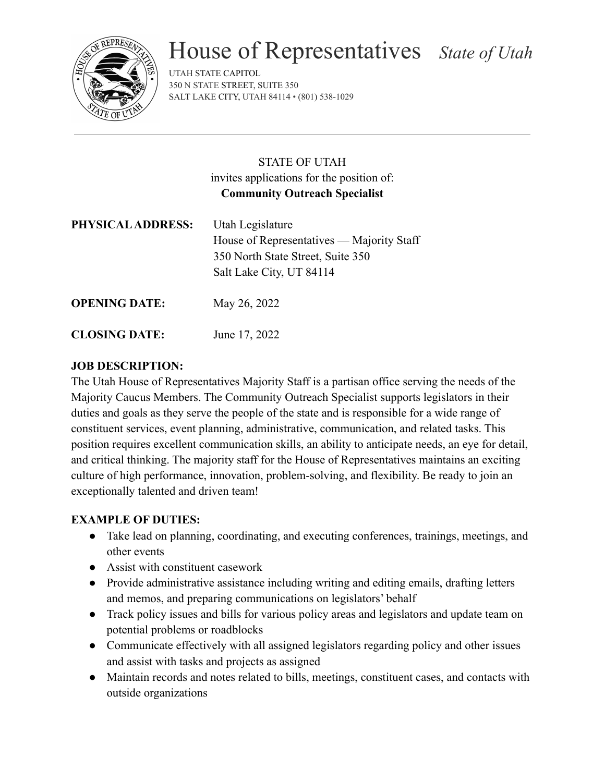

# House of Representatives *State of Utah*

UTAH STATE CAPITOL 350 N STATE STREET, SUITE 350 SALT LAKE CITY, UTAH 84114 • (801) 538-1029

# STATE OF UTAH invites applications for the position of: **Community Outreach Specialist**

| PHYSICAL ADDRESS:    | Utah Legislature<br>House of Representatives — Majority Staff<br>350 North State Street, Suite 350<br>Salt Lake City, UT 84114 |
|----------------------|--------------------------------------------------------------------------------------------------------------------------------|
| <b>OPENING DATE:</b> | May 26, 2022                                                                                                                   |

**CLOSING DATE:** June 17, 2022

# **JOB DESCRIPTION:**

The Utah House of Representatives Majority Staff is a partisan office serving the needs of the Majority Caucus Members. The Community Outreach Specialist supports legislators in their duties and goals as they serve the people of the state and is responsible for a wide range of constituent services, event planning, administrative, communication, and related tasks. This position requires excellent communication skills, an ability to anticipate needs, an eye for detail, and critical thinking. The majority staff for the House of Representatives maintains an exciting culture of high performance, innovation, problem-solving, and flexibility. Be ready to join an exceptionally talented and driven team!

## **EXAMPLE OF DUTIES:**

- Take lead on planning, coordinating, and executing conferences, trainings, meetings, and other events
- Assist with constituent casework
- Provide administrative assistance including writing and editing emails, drafting letters and memos, and preparing communications on legislators' behalf
- Track policy issues and bills for various policy areas and legislators and update team on potential problems or roadblocks
- Communicate effectively with all assigned legislators regarding policy and other issues and assist with tasks and projects as assigned
- Maintain records and notes related to bills, meetings, constituent cases, and contacts with outside organizations